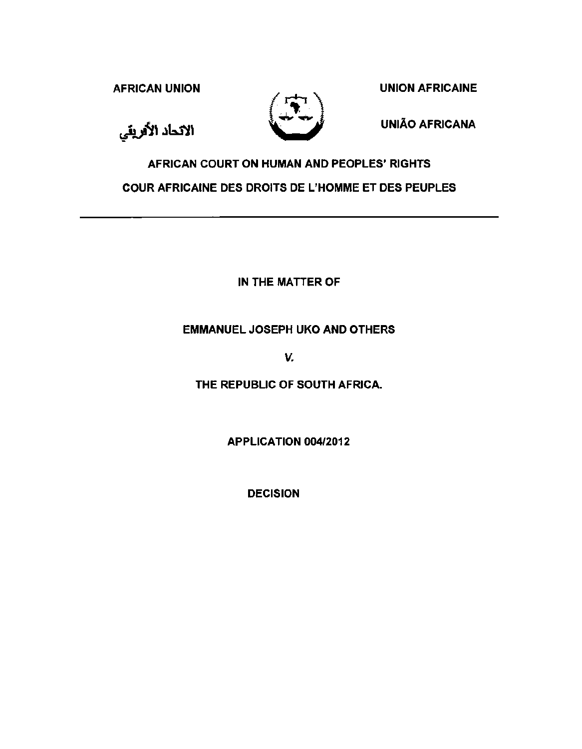AFRICAN UNION NEWSLET CONTROL CONTRACT A UNION AFRICAINE



الاتحاد الأفريقي

UNIAO AFRICANA

# AFRICAN COURT ON HUMAN AND PEOPLES' RIGHTS COUR AFRICAINE DES DROITS DE L'HOMME ET DES PEUPLES

IN THE MATTER OF

## EMMANUEL JOSEPH UKO AND OTHERS

*v.* 

THE REPUBLIC OF SOUTH AFRICA.

APPLICATION 004/2012

DECISION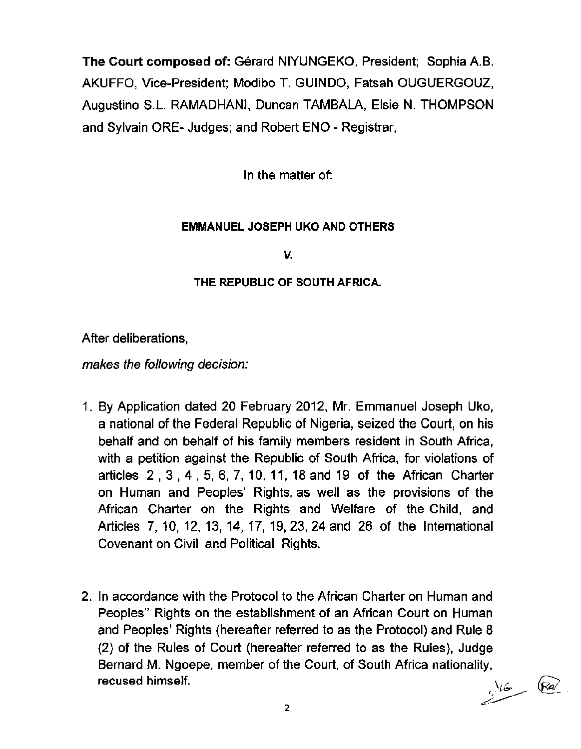The Court composed of: Gerard NIYUNGEKO, President; Sophia A.B. AKUFFO, Vice-President; Modibo T. GUINDO, Fatsah OUGUERGOUZ, Augustine S.L. RAMADHANI, Duncan TAMBALA, Elsie N. THOMPSON and Sylvain ORE- Judges; and Robert ENO- Registrar,

In the matter of:

### EMMANUEL JOSEPH UKO AND OTHERS

*v.* 

### THE REPUBLIC OF SOUTH AFRICA.

After deliberations,

makes the following decision:

- 1. By Application dated 20 February 2012, Mr. Emmanuel Joseph Uko, a national of the Federal Republic of Nigeria, seized the Court, on his behalf and on behalf of his family members resident in South Africa, with a petition against the Republic of South Africa, for violations of articles 2 , 3 , 4 , 5, 6, 7, 10, 11, 18 and 19 of the African Charter on Human and Peoples' Rights, as well as the provisions of the African Charter on the Rights and Welfare of the Child, and Articles 7, 10, 12, 13, 14, 17, 19, 23, 24 and 26 of the International Covenant on Civil and Political Rights.
- 2. In accordance with the Protocol to the African Charter on Human and Peoples" Rights on the establishment of an African Court on Human and Peoples' Rights (hereafter referred to as the Protocol) and Rule 8 (2) of the Rules of Court (hereafter referred to as the Rules), Judge Bernard M. Ngoepe, member of the Court, of South Africa nationality,<br>**recused himself.**  $\sqrt{6a}$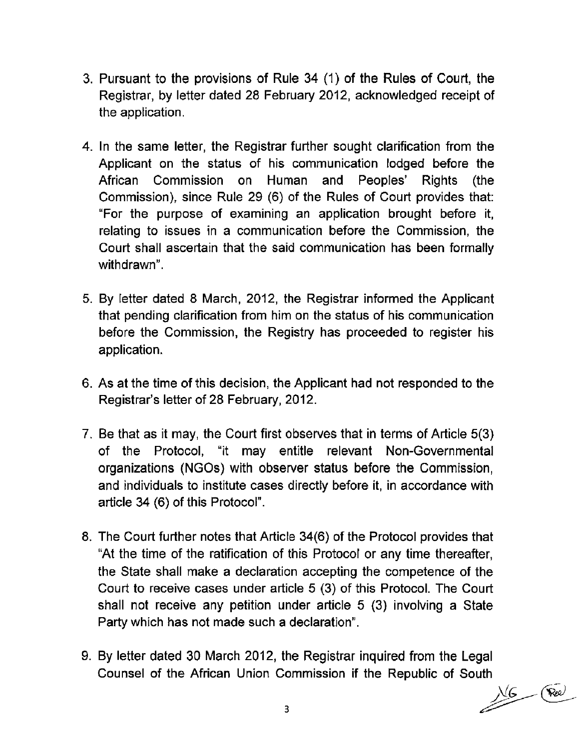- 3. Pursuant to the provisions of Rule 34 (1) of the Rules of Court, the Registrar, by letter dated 28 February 2012, acknowledged receipt of the application.
- 4. In the same letter, the Registrar further sought clarification from the Applicant on the status of his communication lodged before the African Commission on Human and Peoples' Rights (the Commission), since Rule 29 (6) of the Rules of Court provides that: "For the purpose of examining an application brought before it, relating to issues in a communication before the Commission, the Court shall ascertain that the said communication has been formally withdrawn".
- 5. By letter dated 8 March, 2012, the Registrar informed the Applicant that pending clarification from him on the status of his communication before the Commission, the Registry has proceeded to register his application.
- 6. As at the time of this decision, the Applicant had not responded to the Registrar's letter of 28 February, 2012.
- 7. Be that as it may, the Court first observes that in terms of Article 5(3) of the Protocol, "it may entitle relevant Non-Governmental organizations (NGOs) with observer status before the Commission, and individuals to institute cases directly before it, in accordance with article 34 (6) of this Protocol".
- 8. The Court further notes that Article 34(6) of the Protocol provides that "At the time of the ratification of this Protocol or any time thereafter, the State shall make a declaration accepting the competence of the Court to receive cases under article 5 (3) of this Protocol. The Court shall not receive any petition under article 5 (3) involving a State Party which has not made such a declaration".
- 9. By letter dated 30 March 2012, the Registrar inquired from the Legal Counsel of the African Union Commission if the Republic of South

 $3$  flex  $\sqrt{6}$  (Ree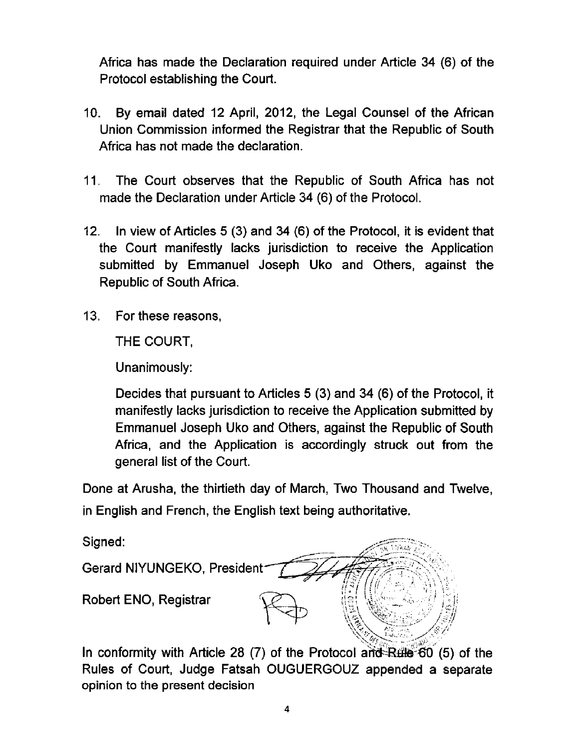Africa has made the Declaration required under Article 34 (6) of the Protocol establishing the Court.

- 10. By email dated 12 April, 2012, the Legal Counsel of the African Union Commission informed the Registrar that the Republic of South Africa has not made the declaration.
- 11. The Court observes that the Republic of South Africa has not made the Declaration under Article 34 (6) of the Protocol.
- 12. In view of Articles 5 (3) and 34 (6) of the Protocol, it is evident that the Court manifestly lacks jurisdiction to receive the Application submitted by Emmanuel Joseph Uko and Others, against the Republic of South Africa.
- 13. For these reasons,

THE COURT,

Unanimously:

Decides that pursuant to Articles 5 (3) and 34 (6) of the Protocol, it manifestly lacks jurisdiction to receive the Application submitted by Emmanuel Joseph Uko and Others, against the Republic of South Africa, and the Application is accordingly struck out from the general list of the Court.

Done at Arusha, the thirtieth day of March, Two Thousand and Twelve, in English and French, the English text being authoritative.

Signed:



In conformity with Article 28 (7) of the Protocol and Rule 60 (5) of the Rules of Court, Judge Fatsah OUGUERGOUZ appended a separate opinion to the present decision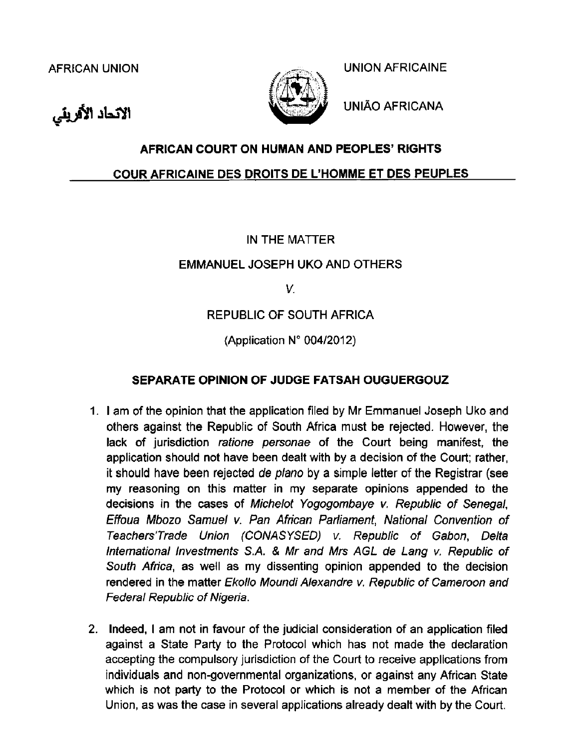الاتحاد الأفريقي



AFRICAN UNION AFRICAINE

UNIAO AFRICANA

## **AFRICAN COURT ON HUMAN AND PEOPLES' RIGHTS**

## **COUR AFRICAINE DES DROITS DE L'HOMME ET DES PEUPLES**

## IN THE MATTER

## EMMANUEL JOSEPH UKO AND OTHERS

V.

# REPUBLIC OF SOUTH AFRICA

(Application  $N^{\circ}$  004/2012)

## **SEPARATE OPINION OF JUDGE FATSAH OUGUERGOUZ**

- 1. I am of the opinion that the application filed by Mr Emmanuel Joseph Uko and others against the Republic of South Africa must be rejected. However, the lack of jurisdiction ratione personae of the Court being manifest, the application should not have been dealt with by a decision of the Court; rather, it should have been rejected de plano by a simple letter of the Registrar (see my reasoning on this matter in my separate opinions appended to the decisions in the cases of Michelot Yogogombaye v. Republic of Senegal, Effoua Mbozo Samuel v. Pan African Parliament, National Convention of Teachers'Trade Union (CONASYSEO) v. Republic of Gabon, Delta International Investments S.A. & Mr and Mrs AGL de Lang v. Republic of South Africa, as well as my dissenting opinion appended to the decision rendered in the matter Ekollo Moundi Alexandre v. Republic of Cameroon and Federal Republic of Nigeria.
- 2. Indeed, I am not in favour of the judicial consideration of an application filed against a State Party to the Protocol which has not made the declaration accepting the compulsory jurisdiction of the Court to receive applications from individuals and non-governmental organizations, or against any African State which is not party to the Protocol or which is not a member of the African Union, as was the case in several applications already dealt with by the Court.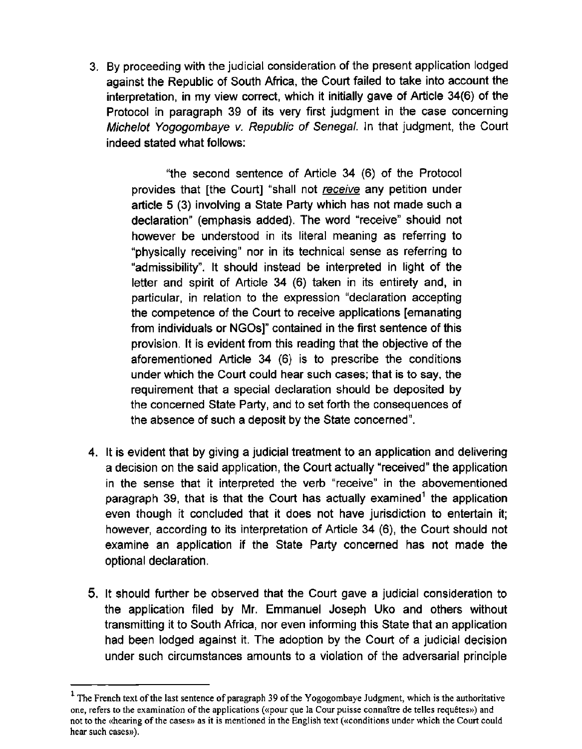3. By proceeding with the judicial consideration of the present application lodged against the Republic of South Africa, the Court failed to take into account the interpretation, in my view correct, which it initially gave of Article 34(6) of the Protocol in paragraph 39 of its very first judgment in the case concerning Michelot Yogogombaye v. Republic of Senegal. In that judgment, the Court indeed stated what follows:

"the second sentence of Article 34 (6) of the Protocol provides that [the Court] "shall not receive any petition under article 5 (3) involving a State Party which has not made such a declaration" (emphasis added). The word "receive" should not however be understood in its literal meaning as referring to "physically receiving" nor in its technical sense as referring to "admissibility". It should instead be interpreted in light of the letter and spirit of Article 34 (6) taken in its entirety and, in particular, in relation to the expression "declaration accepting the competence of the Court to receive applications [emanating from individuals or NGOs]" contained in the first sentence of this provision. It is evident from this reading that the objective of the aforementioned Article 34 (6) is to prescribe the conditions under which the Court could hear such cases; that is to say, the requirement that a special declaration should be deposited by the concerned State Party, and to set forth the consequences of the absence of such a deposit by the State concerned".

- 4. It is evident that by giving a judicial treatment to an application and delivering a decision on the said application, the Court actually "received" the application in the sense that it interpreted the verb "receive" in the abovementioned paragraph 39, that is that the Court has actually examined<sup>1</sup> the application even though it concluded that it does not have jurisdiction to entertain it; however, according to its interpretation of Article 34 (6), the Court should not examine an application if the State Party concerned has not made the optional declaration.
- 5. It should further be observed that the Court gave a judicial consideration to the application filed by Mr. Emmanuel Joseph Uko and others without transmitting it to South Africa, nor even informing this State that an application had been lodged against it. The adoption by the Court of a judicial decision under such circumstances amounts to a violation of the adversarial principle

<sup>&</sup>lt;sup>1</sup> The French text of the last sentence of paragraph 39 of the Yogogombaye Judgment, which is the authoritative one, refers to the examination of the applications («pour que Ia Cour puisse connaitre de telles requetes») and not to the «hearing of the cases» as it is mentioned in the English text («conditions under which the Court could hear such cases»).